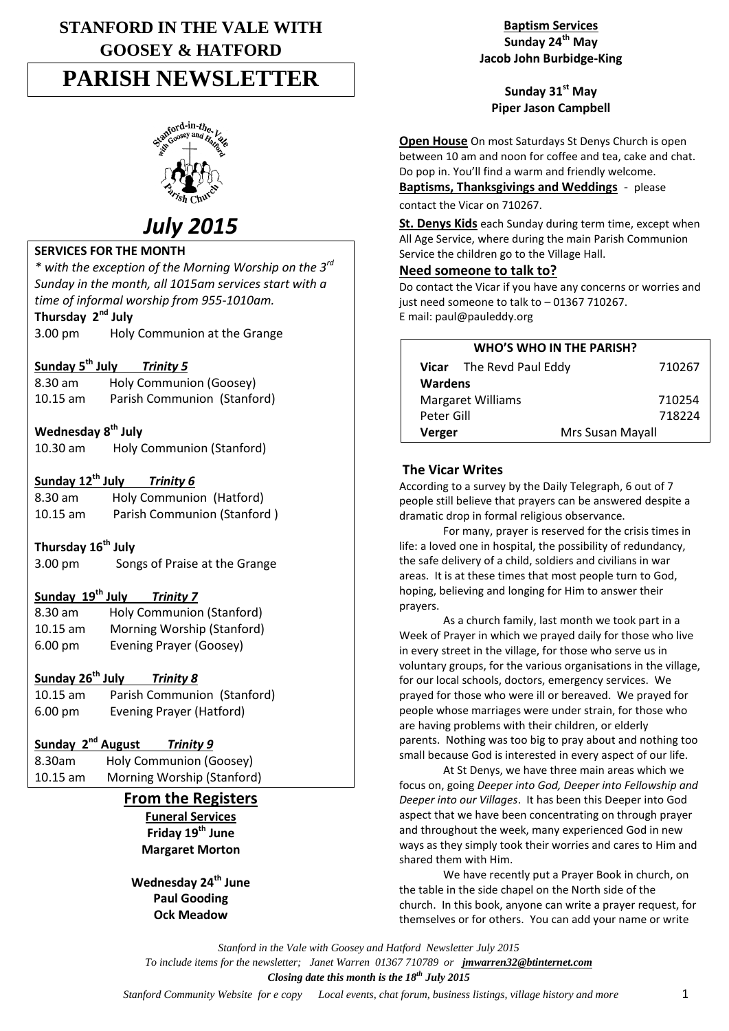# **STANFORD IN THE VALE WITH GOOSEY & HATFORD PARISH NEWSLETTER**



# *July 2015*

## **SERVICES FOR THE MONTH**

*\* with the exception of the Morning Worship on the 3rd Sunday in the month, all 1015am services start with a time of informal worship from 955-1010am.*

## **Thursday 2nd July**

3.00 pm Holy Communion at the Grange

#### **Sunday 5 th July** *Trinity 5*

8.30 am Holy Communion (Goosey) 10.15 am Parish Communion (Stanford)

## **Wednesday 8 th July**

10.30 am Holy Communion (Stanford)

## **Sunday 12th July** *Trinity 6*

8.30 am Holy Communion (Hatford) 10.15 am Parish Communion (Stanford )

#### **Thursday 16th July**

3.00 pm Songs of Praise at the Grange

#### **Sunday 19th July** *Trinity 7*

| $8.30$ am         | Holy Communion (Stanford)  |
|-------------------|----------------------------|
| $10.15$ am        | Morning Worship (Stanford) |
| $6.00 \text{ pm}$ | Evening Prayer (Goosey)    |

## **Sunday 26th July** *Trinity 8*

| $10.15 \text{ am}$ | Parish Communion (Stanford) |
|--------------------|-----------------------------|
| $6.00 \text{ pm}$  | Evening Prayer (Hatford)    |

## **Sunday 2nd August** *Trinity 9*

8.30am Holy Communion (Goosey) 10.15 am Morning Worship (Stanford)

## **From the Registers**

**Funeral Services Friday 19th June Margaret Morton**

### **Wednesday 24th June Paul Gooding Ock Meadow**

**Baptism Services Sunday 24th May Jacob John Burbidge-King**

#### **Sunday 31st May Piper Jason Campbell**

**Open House** On most Saturdays St Denys Church is open between 10 am and noon for coffee and tea, cake and chat. Do pop in. You'll find a warm and friendly welcome.

**Baptisms, Thanksgivings and Weddings** - please

contact the Vicar on 710267.

**St. Denys Kids** each Sunday during term time, except when All Age Service, where during the main Parish Communion Service the children go to the Village Hall.

#### **Need someone to talk to?**

Do contact the Vicar if you have any concerns or worries and just need someone to talk to – 01367 710267. E mail: paul@pauleddy.org

| WHO'S WHO IN THE PARISH? |                                 |        |  |
|--------------------------|---------------------------------|--------|--|
|                          | <b>Vicar</b> The Revd Paul Eddy | 710267 |  |
| <b>Wardens</b>           |                                 |        |  |
| <b>Margaret Williams</b> |                                 | 710254 |  |
| Peter Gill               |                                 | 718224 |  |
| Verger                   | Mrs Susan Mayall                |        |  |

#### **The Vicar Writes**

According to a survey by the Daily Telegraph, 6 out of 7 people still believe that prayers can be answered despite a dramatic drop in formal religious observance.

For many, prayer is reserved for the crisis times in life: a loved one in hospital, the possibility of redundancy, the safe delivery of a child, soldiers and civilians in war areas. It is at these times that most people turn to God, hoping, believing and longing for Him to answer their prayers.

As a church family, last month we took part in a Week of Prayer in which we prayed daily for those who live in every street in the village, for those who serve us in voluntary groups, for the various organisations in the village, for our local schools, doctors, emergency services. We prayed for those who were ill or bereaved. We prayed for people whose marriages were under strain, for those who are having problems with their children, or elderly parents. Nothing was too big to pray about and nothing too small because God is interested in every aspect of our life.

At St Denys, we have three main areas which we focus on, going *Deeper into God, Deeper into Fellowship and Deeper into our Villages*. It has been this Deeper into God aspect that we have been concentrating on through prayer and throughout the week, many experienced God in new ways as they simply took their worries and cares to Him and shared them with Him.

We have recently put a Prayer Book in church, on the table in the side chapel on the North side of the church. In this book, anyone can write a prayer request, for themselves or for others. You can add your name or write

*Stanford in the Vale with Goosey and Hatford Newsletter July 2015 To include items for the newsletter; Janet Warren 01367 710789 or jmwarren32@btinternet.com Closing date this month is the 18th July 2015*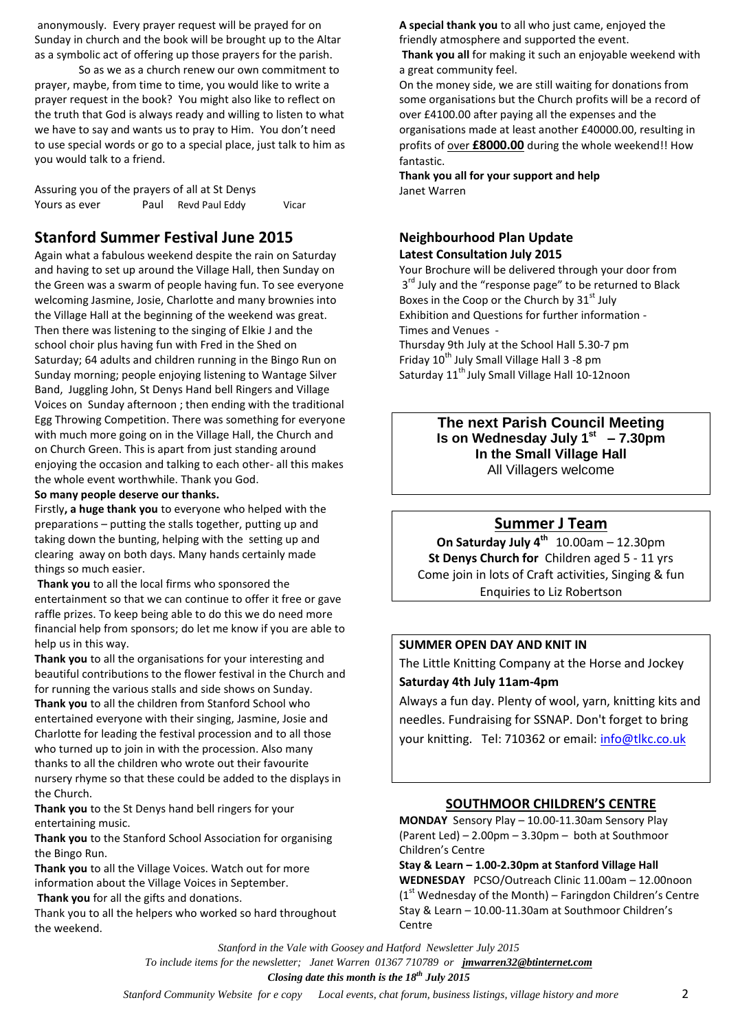anonymously. Every prayer request will be prayed for on Sunday in church and the book will be brought up to the Altar as a symbolic act of offering up those prayers for the parish.

So as we as a church renew our own commitment to prayer, maybe, from time to time, you would like to write a prayer request in the book? You might also like to reflect on the truth that God is always ready and willing to listen to what we have to say and wants us to pray to Him. You don't need to use special words or go to a special place, just talk to him as you would talk to a friend.

Assuring you of the prayers of all at St Denys Yours as ever **Paul Revd Paul Eddy** Vicar

## **Stanford Summer Festival June 2015**

Again what a fabulous weekend despite the rain on Saturday and having to set up around the Village Hall, then Sunday on the Green was a swarm of people having fun. To see everyone welcoming Jasmine, Josie, Charlotte and many brownies into the Village Hall at the beginning of the weekend was great. Then there was listening to the singing of Elkie J and the school choir plus having fun with Fred in the Shed on Saturday; 64 adults and children running in the Bingo Run on Sunday morning; people enjoying listening to Wantage Silver Band, Juggling John, St Denys Hand bell Ringers and Village Voices on Sunday afternoon ; then ending with the traditional Egg Throwing Competition. There was something for everyone with much more going on in the Village Hall, the Church and on Church Green. This is apart from just standing around enjoying the occasion and talking to each other- all this makes the whole event worthwhile. Thank you God.

#### **So many people deserve our thanks.**

Firstly**, a huge thank you** to everyone who helped with the preparations – putting the stalls together, putting up and taking down the bunting, helping with the setting up and clearing away on both days. Many hands certainly made things so much easier.

**Thank you** to all the local firms who sponsored the entertainment so that we can continue to offer it free or gave raffle prizes. To keep being able to do this we do need more financial help from sponsors; do let me know if you are able to help us in this way.

**Thank you** to all the organisations for your interesting and beautiful contributions to the flower festival in the Church and for running the various stalls and side shows on Sunday. **Thank you** to all the children from Stanford School who entertained everyone with their singing, Jasmine, Josie and Charlotte for leading the festival procession and to all those who turned up to join in with the procession. Also many thanks to all the children who wrote out their favourite nursery rhyme so that these could be added to the displays in the Church.

**Thank you** to the St Denys hand bell ringers for your entertaining music.

**Thank you** to the Stanford School Association for organising the Bingo Run.

**Thank you** to all the Village Voices. Watch out for more information about the Village Voices in September.

**Thank you** for all the gifts and donations.

Thank you to all the helpers who worked so hard throughout the weekend.

**A special thank you** to all who just came, enjoyed the friendly atmosphere and supported the event.

**Thank you all** for making it such an enjoyable weekend with a great community feel.

On the money side, we are still waiting for donations from some organisations but the Church profits will be a record of over £4100.00 after paying all the expenses and the organisations made at least another £40000.00, resulting in profits of over **£8000.00** during the whole weekend!! How fantastic.

**Thank you all for your support and help** Janet Warren

#### **Neighbourhood Plan Update Latest Consultation July 2015**

Your Brochure will be delivered through your door from 3<sup>rd</sup> July and the "response page" to be returned to Black Boxes in the Coop or the Church by  $31<sup>st</sup>$  July Exhibition and Questions for further information - Times and Venues -

Thursday 9th July at the School Hall 5.30-7 pm Friday  $10^{th}$  July Small Village Hall 3 -8 pm Saturday 11<sup>th</sup> July Small Village Hall 10-12noon

> **The next Parish Council Meeting Is on Wednesday July 1st – 7.30pm In the Small Village Hall** All Villagers welcome

## **Summer J Team**

**On Saturday July 4th** 10.00am – 12.30pm **St Denys Church for** Children aged 5 - 11 yrs Come join in lots of Craft activities, Singing & fun Enquiries to Liz Robertson

#### **SUMMER OPEN DAY AND KNIT IN**

The Little Knitting Company at the Horse and Jockey **Saturday 4th July 11am-4pm**

Always a fun day. Plenty of wool, yarn, knitting kits and needles. Fundraising for SSNAP. Don't forget to bring your knitting. Tel: 710362 or email: [info@tlkc.co.uk](mailto:info@tlkc.co.uk)

#### **SOUTHMOOR CHILDREN'S CENTRE**

**MONDAY** Sensory Play – 10.00-11.30am Sensory Play (Parent Led) – 2.00pm – 3.30pm – both at Southmoor Children's Centre

**Stay & Learn – 1.00-2.30pm at Stanford Village Hall WEDNESDAY** PCSO/Outreach Clinic 11.00am – 12.00noon  $(1<sup>st</sup>$  Wednesday of the Month) – Faringdon Children's Centre Stay & Learn – 10.00-11.30am at Southmoor Children's Centre

*Stanford in the Vale with Goosey and Hatford Newsletter July 2015 To include items for the newsletter; Janet Warren 01367 710789 or jmwarren32@btinternet.com Closing date this month is the 18th July 2015*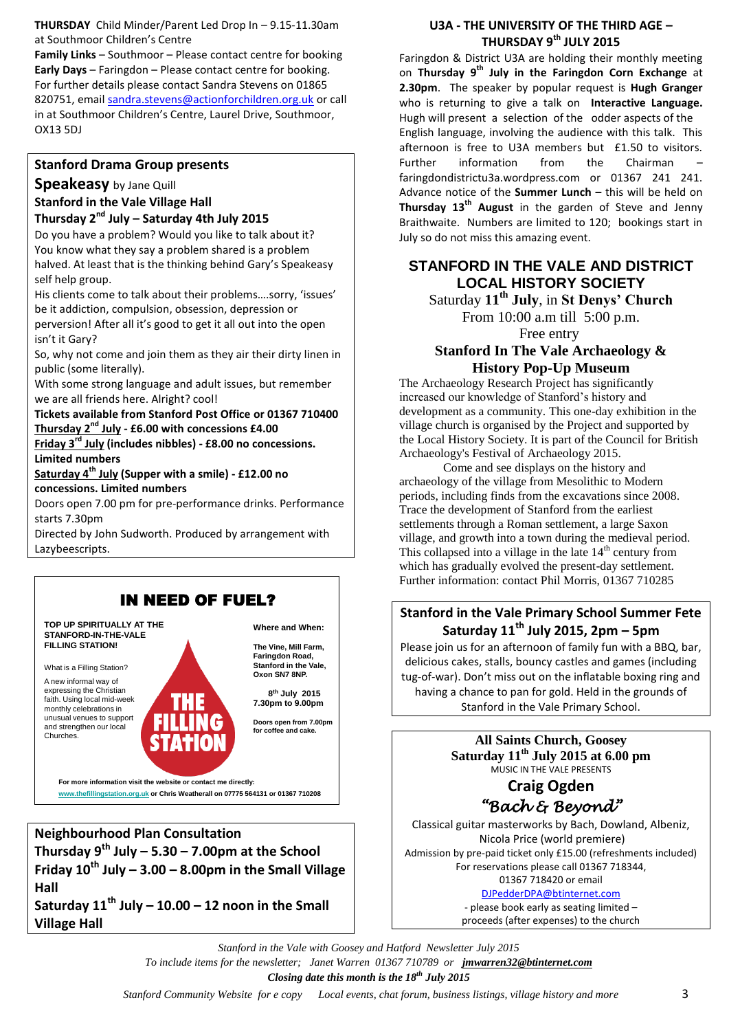**THURSDAY** Child Minder/Parent Led Drop In – 9.15-11.30am at Southmoor Children's Centre

**Family Links** – Southmoor – Please contact centre for booking **Early Days** – Faringdon – Please contact centre for booking. For further details please contact Sandra Stevens on 01865 820751, email [sandra.stevens@actionforchildren.org.uk](mailto:sandra.stevens@actionforchildren.org.uk) or call in at Southmoor Children's Centre, Laurel Drive, Southmoor, OX13 5DJ

#### **Stanford Drama Group presents**

## **Speakeasy** by Jane Quill

#### **Stanford in the Vale Village Hall Thursday 2nd July – Saturday 4th July 2015**

Do you have a problem? Would you like to talk about it? You know what they say a problem shared is a problem halved. At least that is the thinking behind Gary's Speakeasy self help group.

His clients come to talk about their problems….sorry, 'issues' be it addiction, compulsion, obsession, depression or

perversion! After all it's good to get it all out into the open isn't it Gary?

So, why not come and join them as they air their dirty linen in public (some literally).

With some strong language and adult issues, but remember we are all friends here. Alright? cool!

#### **Tickets available from Stanford Post Office or 01367 710400 Thursday 2nd July - £6.00 with concessions £4.00**

**Friday 3rd July (includes nibbles) - £8.00 no concessions. Limited numbers**

**Saturday 4th July (Supper with a smile) - £12.00 no concessions. Limited numbers**

Doors open 7.00 pm for pre-performance drinks. Performance starts 7.30pm

Directed by John Sudworth. Produced by arrangement with Lazybeescripts.



**Thursday 9th July – 5.30 – 7.00pm at the School Friday**  $10^{th}$  **July**  $-3.00 - 8.00$  **pm in the Small Village Hall**

**Saturday 11th July – 10.00 – 12 noon in the Small Village Hall**

#### **U3A - THE UNIVERSITY OF THE THIRD AGE – THURSDAY 9th JULY 2015**

Faringdon & District U3A are holding their monthly meeting on **Thursday 9th July in the Faringdon Corn Exchange** at **2.30pm**. The speaker by popular request is **Hugh Granger** who is returning to give a talk on **Interactive Language.**  Hugh will present a selection of the odder aspects of the English language, involving the audience with this talk. This afternoon is free to U3A members but £1.50 to visitors. Further information from the Chairman faringdondistrictu3a.wordpress.com or 01367 241 241. Advance notice of the **Summer Lunch –** this will be held on **Thursday 13th August** in the garden of Steve and Jenny Braithwaite. Numbers are limited to 120; bookings start in July so do not miss this amazing event.

## **STANFORD IN THE VALE AND DISTRICT LOCAL HISTORY SOCIETY**

Saturday **11th July**, in **St Denys' Church**

From 10:00 a.m till 5:00 p.m. Free entry

## **Stanford In The Vale Archaeology & History Pop-Up Museum**

The Archaeology Research Project has significantly increased our knowledge of Stanford's history and development as a community. This one-day exhibition in the village church is organised by the Project and supported by the Local History Society. It is part of the Council for British Archaeology's Festival of Archaeology 2015.

Come and see displays on the history and archaeology of the village from Mesolithic to Modern periods, including finds from the excavations since 2008. Trace the development of Stanford from the earliest settlements through a Roman settlement, a large Saxon village, and growth into a town during the medieval period. This collapsed into a village in the late  $14<sup>th</sup>$  century from which has gradually evolved the present-day settlement. Further information: contact Phil Morris, 01367 710285

## **Stanford in the Vale Primary School Summer Fete Saturday 11th July 2015, 2pm – 5pm**

Please join us for an afternoon of family fun with a BBQ, bar, delicious cakes, stalls, bouncy castles and games (including tug-of-war). Don't miss out on the inflatable boxing ring and having a chance to pan for gold. Held in the grounds of Stanford in the Vale Primary School.

> **All Saints Church, Goosey Saturday 11th July 2015 at 6.00 pm** MUSIC IN THE VALE PRESENTS **Craig Ogden** *"Bach & Beyond"*

Classical guitar masterworks by Bach, Dowland, Albeniz, Nicola Price (world premiere) Admission by pre-paid ticket only £15.00 (refreshments included) For reservations please call 01367 718344,

01367 718420 or email [DJPedderDPA@btinternet.com](mailto:DJPedderDPA@btinternet.com)

- please book early as seating limited – proceeds (after expenses) to the church

*Stanford in the Vale with Goosey and Hatford Newsletter July 2015 To include items for the newsletter; Janet Warren 01367 710789 or jmwarren32@btinternet.com Closing date this month is the 18th July 2015*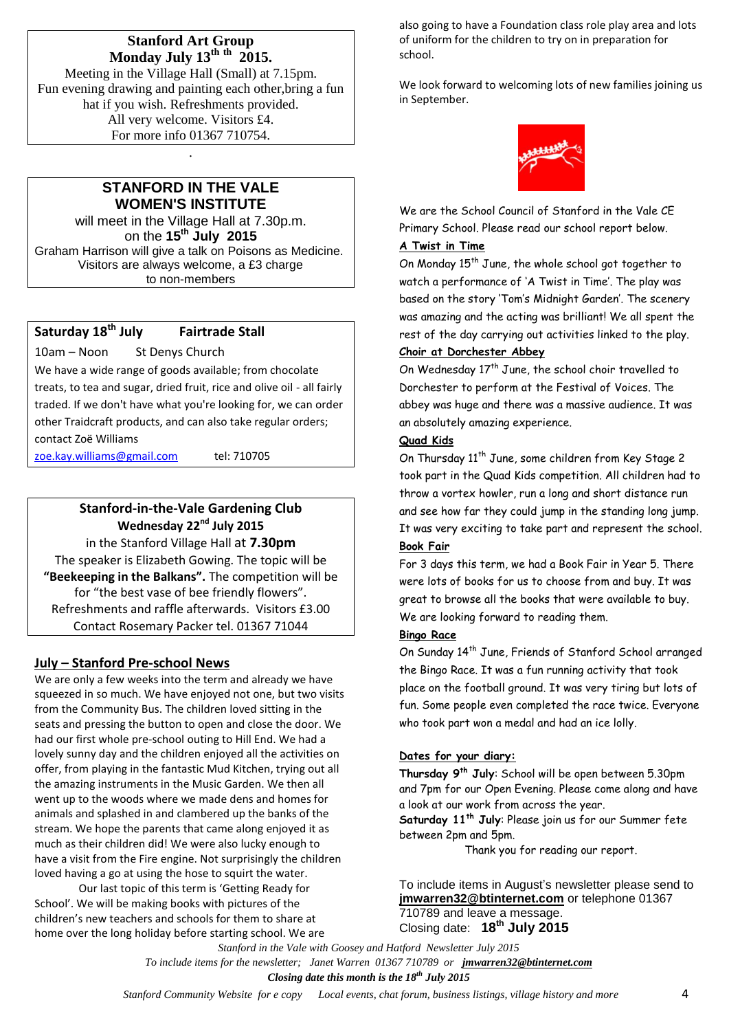#### **Stanford Art Group Monday July 13th th 2015.**

Meeting in the Village Hall (Small) at 7.15pm. Fun evening drawing and painting each other,bring a fun hat if you wish. Refreshments provided. All very welcome. Visitors £4. For more info 01367 710754.

## **STANFORD IN THE VALE WOMEN'S INSTITUTE**

.

will meet in the Village Hall at 7.30p.m. on the **15 th July 2015** Graham Harrison will give a talk on Poisons as Medicine. Visitors are always welcome, a £3 charge to non-members

## **Saturday 18th July Fairtrade Stall**

10am – Noon St Denys Church

We have a wide range of goods available; from chocolate treats, to tea and sugar, dried fruit, rice and olive oil - all fairly traded. If we don't have what you're looking for, we can order other Traidcraft products, and can also take regular orders; contact Zoë Williams

[zoe.kay.williams@gmail.com](mailto:zoe.kay.williams@gmail.com) tel: 710705

## **Stanford-in-the-Vale Gardening Club** Wednesday 22<sup>nd</sup> July 2015

in the Stanford Village Hall at **7.30pm** The speaker is Elizabeth Gowing. The topic will be **"Beekeeping in the Balkans".** The competition will be for "the best vase of bee friendly flowers". Refreshments and raffle afterwards. Visitors £3.00 Contact Rosemary Packer tel. 01367 71044

## **July – Stanford Pre-school News**

We are only a few weeks into the term and already we have squeezed in so much. We have enjoyed not one, but two visits from the Community Bus. The children loved sitting in the seats and pressing the button to open and close the door. We had our first whole pre-school outing to Hill End. We had a lovely sunny day and the children enjoyed all the activities on offer, from playing in the fantastic Mud Kitchen, trying out all the amazing instruments in the Music Garden. We then all went up to the woods where we made dens and homes for animals and splashed in and clambered up the banks of the stream. We hope the parents that came along enjoyed it as much as their children did! We were also lucky enough to have a visit from the Fire engine. Not surprisingly the children loved having a go at using the hose to squirt the water.

Our last topic of this term is 'Getting Ready for School'. We will be making books with pictures of the children's new teachers and schools for them to share at home over the long holiday before starting school. We are also going to have a Foundation class role play area and lots of uniform for the children to try on in preparation for school.

We look forward to welcoming lots of new families joining us in September.



We are the School Council of Stanford in the Vale CE Primary School. Please read our school report below.

#### **A Twist in Time**

On Monday 15<sup>th</sup> June, the whole school got together to watch a performance of 'A Twist in Time'. The play was based on the story 'Tom's Midnight Garden'. The scenery was amazing and the acting was brilliant! We all spent the rest of the day carrying out activities linked to the play. **Choir at Dorchester Abbey**

On Wednesday  $17<sup>th</sup>$  June, the school choir travelled to Dorchester to perform at the Festival of Voices. The abbey was huge and there was a massive audience. It was an absolutely amazing experience.

### **Quad Kids**

On Thursday 11<sup>th</sup> June, some children from Key Stage 2 took part in the Quad Kids competition. All children had to throw a vortex howler, run a long and short distance run and see how far they could jump in the standing long jump. It was very exciting to take part and represent the school. **Book Fair**

For 3 days this term, we had a Book Fair in Year 5. There were lots of books for us to choose from and buy. It was great to browse all the books that were available to buy. We are looking forward to reading them.

#### **Bingo Race**

On Sunday 14th June, Friends of Stanford School arranged the Bingo Race. It was a fun running activity that took place on the football ground. It was very tiring but lots of fun. Some people even completed the race twice. Everyone who took part won a medal and had an ice lolly.

#### **Dates for your diary:**

**Thursday 9th July**: School will be open between 5.30pm and 7pm for our Open Evening. Please come along and have a look at our work from across the year.

**Saturday 11th July**: Please join us for our Summer fete between 2pm and 5pm.

Thank you for reading our report.

To include items in August's newsletter please send to **[jmwarren32@btinternet.com](mailto:jmwarren32@btinternet.com)** or telephone 01367 710789 and leave a message. Closing date: **18th July 2015** 

*Stanford in the Vale with Goosey and Hatford Newsletter July 2015 To include items for the newsletter; Janet Warren 01367 710789 or jmwarren32@btinternet.com*